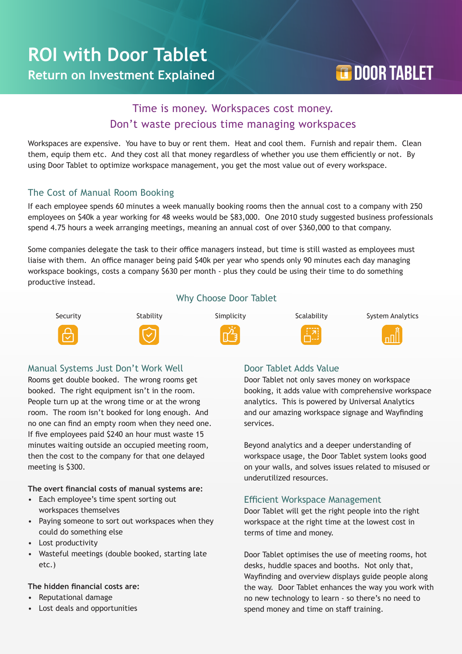# **TOOR TABLET**

## Time is money. Workspaces cost money. Don't waste precious time managing workspaces

Workspaces are expensive. You have to buy or rent them. Heat and cool them. Furnish and repair them. Clean them, equip them etc. And they cost all that money regardless of whether you use them efficiently or not. By using Door Tablet to optimize workspace management, you get the most value out of every workspace.

#### The Cost of Manual Room Booking

If each employee spends 60 minutes a week manually booking rooms then the annual cost to a company with 250 employees on \$40k a year working for 48 weeks would be \$83,000. One 2010 study suggested business professionals spend 4.75 hours a week arranging meetings, meaning an annual cost of over \$360,000 to that company.

Some companies delegate the task to their office managers instead, but time is still wasted as employees must liaise with them. An office manager being paid \$40k per year who spends only 90 minutes each day managing workspace bookings, costs a company \$630 per month - plus they could be using their time to do something productive instead.















#### Manual Systems Just Don't Work Well

Rooms get double booked. The wrong rooms get booked. The right equipment isn't in the room. People turn up at the wrong time or at the wrong room. The room isn't booked for long enough. And no one can find an empty room when they need one. If five employees paid \$240 an hour must waste 15 minutes waiting outside an occupied meeting room, then the cost to the company for that one delayed meeting is \$300.

**The overt financial costs of manual systems are:** 

- Each employee's time spent sorting out workspaces themselves
- Paying someone to sort out workspaces when they could do something else
- Lost productivity
- Wasteful meetings (double booked, starting late etc.)

#### **The hidden financial costs are:**

- Reputational damage
- Lost deals and opportunities

#### Door Tablet Adds Value

Door Tablet not only saves money on workspace booking, it adds value with comprehensive workspace analytics. This is powered by Universal Analytics and our amazing workspace signage and Wayfinding services.

Beyond analytics and a deeper understanding of workspace usage, the Door Tablet system looks good on your walls, and solves issues related to misused or underutilized resources.

#### Efficient Workspace Management

Door Tablet will get the right people into the right workspace at the right time at the lowest cost in terms of time and money.

Door Tablet optimises the use of meeting rooms, hot desks, huddle spaces and booths. Not only that, Wayfinding and overview displays guide people along the way. Door Tablet enhances the way you work with no new technology to learn - so there's no need to spend money and time on staff training.